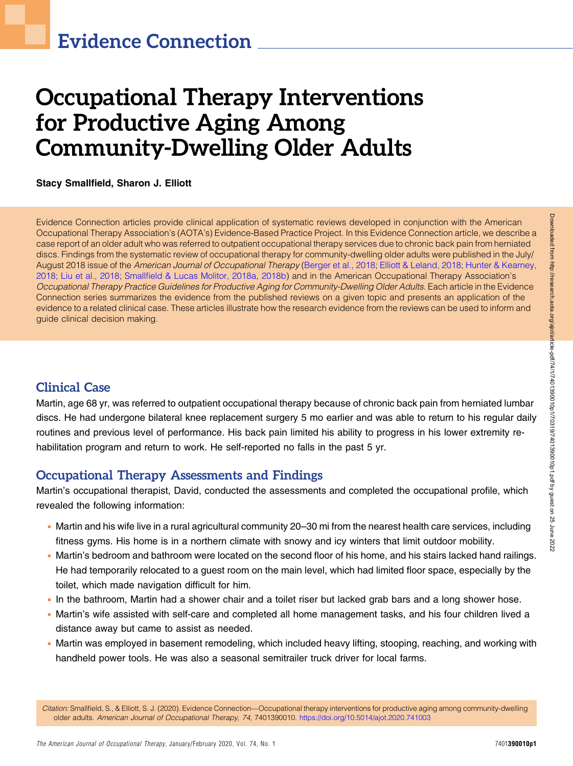# Occupational Therapy Interventions for Productive Aging Among Community-Dwelling Older Adults

Stacy Smallfield, Sharon J. Elliott

Evidence Connection articles provide clinical application of systematic reviews developed in conjunction with the American Occupational Therapy Association's (AOTA's) Evidence-Based Practice Project. In this Evidence Connection article, we describe a case report of an older adult who was referred to outpatient occupational therapy services due to chronic back pain from herniated discs. Findings from the systematic review of occupational therapy for community-dwelling older adults were published in the July/ August 2018 issue of the American Journal of Occupational Therapy ([Berger et al., 2018](#page-3-0); [Elliott & Leland, 2018;](#page-3-1) [Hunter & Kearney,](#page-3-2) [2018;](#page-3-2) [Liu et al., 2018;](#page-3-3) Smallfi[eld & Lucas Molitor, 2018a,](#page-3-4) [2018b](#page-4-0)) and in the American Occupational Therapy Association's Occupational Therapy Practice Guidelines for Productive Aging for Community-Dwelling Older Adults. Each article in the Evidence Connection series summarizes the evidence from the published reviews on a given topic and presents an application of the evidence to a related clinical case. These articles illustrate how the research evidence from the reviews can be used to inform and guide clinical decision making.

## Clinical Case

Martin, age 68 yr, was referred to outpatient occupational therapy because of chronic back pain from herniated lumbar discs. He had undergone bilateral knee replacement surgery 5 mo earlier and was able to return to his regular daily routines and previous level of performance. His back pain limited his ability to progress in his lower extremity rehabilitation program and return to work. He self-reported no falls in the past 5 yr.

## Occupational Therapy Assessments and Findings

Martin's occupational therapist, David, conducted the assessments and completed the occupational profile, which revealed the following information:

- <sup>n</sup> Martin and his wife live in a rural agricultural community 20–30 mi from the nearest health care services, including fitness gyms. His home is in a northern climate with snowy and icy winters that limit outdoor mobility.
- Martin's bedroom and bathroom were located on the second floor of his home, and his stairs lacked hand railings. He had temporarily relocated to a guest room on the main level, which had limited floor space, especially by the toilet, which made navigation difficult for him.
- <sup>n</sup> In the bathroom, Martin had a shower chair and a toilet riser but lacked grab bars and a long shower hose.
- <sup>n</sup> Martin's wife assisted with self-care and completed all home management tasks, and his four children lived a distance away but came to assist as needed.
- <sup>n</sup> Martin was employed in basement remodeling, which included heavy lifting, stooping, reaching, and working with handheld power tools. He was also a seasonal semitrailer truck driver for local farms.

Citation: Smallfield, S., & Elliott, S. J. (2020). Evidence Connection—Occupational therapy interventions for productive aging among community-dwelling older adults. American Journal of Occupational Therapy, 74, 7401390010. <https://doi.org/10.5014/ajot.2020.741003>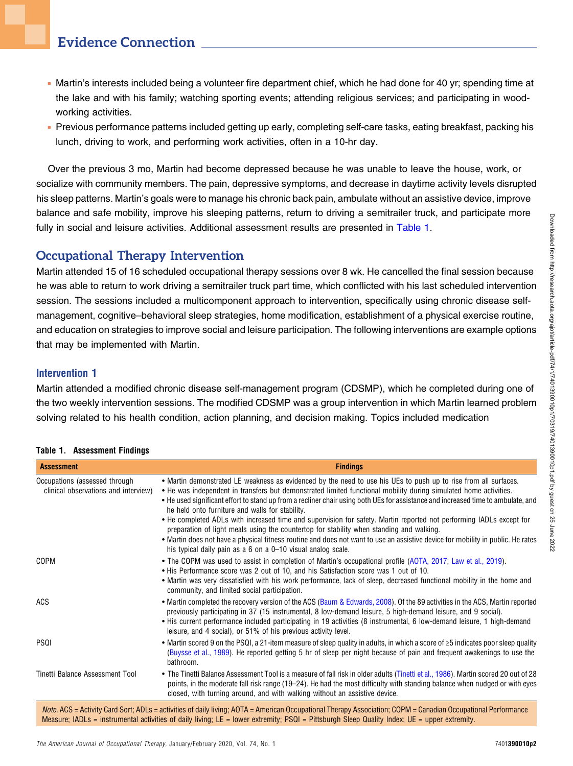- <sup>n</sup> Martin's interests included being a volunteer fire department chief, which he had done for 40 yr; spending time at the lake and with his family; watching sporting events; attending religious services; and participating in woodworking activities.
- <sup>n</sup> Previous performance patterns included getting up early, completing self-care tasks, eating breakfast, packing his lunch, driving to work, and performing work activities, often in a 10-hr day.

Over the previous 3 mo, Martin had become depressed because he was unable to leave the house, work, or socialize with community members. The pain, depressive symptoms, and decrease in daytime activity levels disrupted his sleep patterns. Martin's goals were to manage his chronic back pain, ambulate without an assistive device, improve balance and safe mobility, improve his sleeping patterns, return to driving a semitrailer truck, and participate more fully in social and leisure activities. Additional assessment results are presented in [Table 1.](#page-1-0)

## Occupational Therapy Intervention

Martin attended 15 of 16 scheduled occupational therapy sessions over 8 wk. He cancelled the final session because he was able to return to work driving a semitrailer truck part time, which conflicted with his last scheduled intervention session. The sessions included a multicomponent approach to intervention, specifically using chronic disease selfmanagement, cognitive–behavioral sleep strategies, home modification, establishment of a physical exercise routine, and education on strategies to improve social and leisure participation. The following interventions are example options that may be implemented with Martin.

#### Intervention 1

Martin attended a modified chronic disease self-management program (CDSMP), which he completed during one of the two weekly intervention sessions. The modified CDSMP was a group intervention in which Martin learned problem solving related to his health condition, action planning, and decision making. Topics included medication

| <b>Assessment</b>                                                     | <b>Findings</b>                                                                                                                                                                                                                                                                                                                                                                                                                                                                                                                                                                                                                                                                                                                                                                                                                                  |
|-----------------------------------------------------------------------|--------------------------------------------------------------------------------------------------------------------------------------------------------------------------------------------------------------------------------------------------------------------------------------------------------------------------------------------------------------------------------------------------------------------------------------------------------------------------------------------------------------------------------------------------------------------------------------------------------------------------------------------------------------------------------------------------------------------------------------------------------------------------------------------------------------------------------------------------|
| Occupations (assessed through<br>clinical observations and interview) | • Martin demonstrated LE weakness as evidenced by the need to use his UEs to push up to rise from all surfaces.<br>• He was independent in transfers but demonstrated limited functional mobility during simulated home activities.<br>• He used significant effort to stand up from a recliner chair using both UEs for assistance and increased time to ambulate, and<br>he held onto furniture and walls for stability.<br>• He completed ADLs with increased time and supervision for safety. Martin reported not performing IADLs except for<br>preparation of light meals using the countertop for stability when standing and walking.<br>• Martin does not have a physical fitness routine and does not want to use an assistive device for mobility in public. He rates<br>his typical daily pain as a 6 on a 0-10 visual analog scale. |
| COPM                                                                  | • The COPM was used to assist in completion of Martin's occupational profile (AOTA, 2017; Law et al., 2019).<br>• His Performance score was 2 out of 10, and his Satisfaction score was 1 out of 10.<br>• Martin was very dissatisfied with his work performance, lack of sleep, decreased functional mobility in the home and<br>community, and limited social participation.                                                                                                                                                                                                                                                                                                                                                                                                                                                                   |
| ACS                                                                   | • Martin completed the recovery version of the ACS (Baum & Edwards, 2008). Of the 89 activities in the ACS, Martin reported<br>previously participating in 37 (15 instrumental, 8 low-demand leisure, 5 high-demand leisure, and 9 social).<br>• His current performance included participating in 19 activities (8 instrumental, 6 low-demand leisure, 1 high-demand<br>leisure, and 4 social), or 51% of his previous activity level.                                                                                                                                                                                                                                                                                                                                                                                                          |
| PSQI                                                                  | • Martin scored 9 on the PSQI, a 21-item measure of sleep quality in adults, in which a score of $\geq 5$ indicates poor sleep quality<br>(Buysse et al., 1989). He reported getting 5 hr of sleep per night because of pain and frequent awakenings to use the<br>bathroom.                                                                                                                                                                                                                                                                                                                                                                                                                                                                                                                                                                     |
| Tinetti Balance Assessment Tool                                       | • The Tinetti Balance Assessment Tool is a measure of fall risk in older adults (Tinetti et al., 1986). Martin scored 20 out of 28<br>points, in the moderate fall risk range (19-24). He had the most difficulty with standing balance when nudged or with eyes<br>closed, with turning around, and with walking without an assistive device.                                                                                                                                                                                                                                                                                                                                                                                                                                                                                                   |
|                                                                       | <i>Note</i> , ACS = Activity Card Sort: ADLs = activities of daily living: AOTA = American Occupational Therapy Association: COPM = Canadian Occupational Performance                                                                                                                                                                                                                                                                                                                                                                                                                                                                                                                                                                                                                                                                            |

#### <span id="page-1-0"></span>Table 1. Assessment Findings

Note. ACS = Activity Card Sort; ADLs = activities of daily living; AOTA = American Occupational Therapy Association; COPM = Canadian Occupational Performance Measure; IADLs = instrumental activities of daily living; LE = lower extremity; PSQI = Pittsburgh Sleep Quality Index; UE = upper extremity.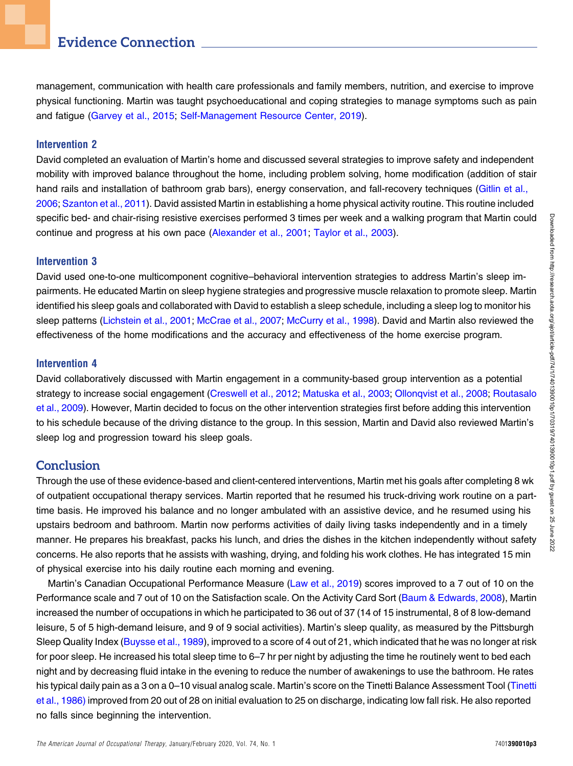# Evidence Connection

management, communication with health care professionals and family members, nutrition, and exercise to improve physical functioning. Martin was taught psychoeducational and coping strategies to manage symptoms such as pain and fatigue ([Garvey et al., 2015](#page-3-9); [Self-Management Resource Center, 2019](#page-3-10)).

#### Intervention 2

David completed an evaluation of Martin's home and discussed several strategies to improve safety and independent mobility with improved balance throughout the home, including problem solving, home modification (addition of stair hand rails and installation of bathroom grab bars), energy conservation, and fall-recovery techniques ([Gitlin et al.,](#page-3-11) [2006](#page-3-11); [Szanton et al., 2011](#page-4-2)). David assisted Martin in establishing a home physical activity routine. This routine included specific bed- and chair-rising resistive exercises performed 3 times per week and a walking program that Martin could continue and progress at his own pace ([Alexander et al., 2001](#page-3-12); [Taylor et al., 2003](#page-4-3)).

#### Intervention 3

David used one-to-one multicomponent cognitive–behavioral intervention strategies to address Martin's sleep impairments. He educated Martin on sleep hygiene strategies and progressive muscle relaxation to promote sleep. Martin identified his sleep goals and collaborated with David to establish a sleep schedule, including a sleep log to monitor his sleep patterns [\(Lichstein et al., 2001;](#page-3-13) [McCrae et al., 2007](#page-3-14); [McCurry et al., 1998\)](#page-3-15). David and Martin also reviewed the effectiveness of the home modifications and the accuracy and effectiveness of the home exercise program.

#### Intervention 4

David collaboratively discussed with Martin engagement in a community-based group intervention as a potential strategy to increase social engagement ([Creswell et al., 2012;](#page-3-16) [Matuska et al., 2003;](#page-3-17) [Ollonqvist et al., 2008](#page-3-18); [Routasalo](#page-3-19) [et al., 2009\)](#page-3-19). However, Martin decided to focus on the other intervention strategies first before adding this intervention to his schedule because of the driving distance to the group. In this session, Martin and David also reviewed Martin's sleep log and progression toward his sleep goals.

#### **Conclusion**

Through the use of these evidence-based and client-centered interventions, Martin met his goals after completing 8 wk of outpatient occupational therapy services. Martin reported that he resumed his truck-driving work routine on a parttime basis. He improved his balance and no longer ambulated with an assistive device, and he resumed using his upstairs bedroom and bathroom. Martin now performs activities of daily living tasks independently and in a timely manner. He prepares his breakfast, packs his lunch, and dries the dishes in the kitchen independently without safety concerns. He also reports that he assists with washing, drying, and folding his work clothes. He has integrated 15 min of physical exercise into his daily routine each morning and evening.

Martin's Canadian Occupational Performance Measure [\(Law et al., 2019](#page-3-6)) scores improved to a 7 out of 10 on the Performance scale and 7 out of 10 on the Satisfaction scale. On the Activity Card Sort [\(Baum & Edwards, 2008\)](#page-3-7), Martin increased the number of occupations in which he participated to 36 out of 37 (14 of 15 instrumental, 8 of 8 low-demand leisure, 5 of 5 high-demand leisure, and 9 of 9 social activities). Martin's sleep quality, as measured by the Pittsburgh Sleep Quality Index [\(Buysse et al., 1989\)](#page-3-8), improved to a score of 4 out of 21, which indicated that he was no longer at risk for poor sleep. He increased his total sleep time to 6–7 hr per night by adjusting the time he routinely went to bed each night and by decreasing fluid intake in the evening to reduce the number of awakenings to use the bathroom. He rates his typical daily pain as a 3 on a 0–10 visual analog scale. Martin's score on the Tinetti Balance Assessment Tool [\(Tinetti](#page-4-1) [et al., 1986\)](#page-4-1) improved from 20 out of 28 on initial evaluation to 25 on discharge, indicating low fall risk. He also reported no falls since beginning the intervention.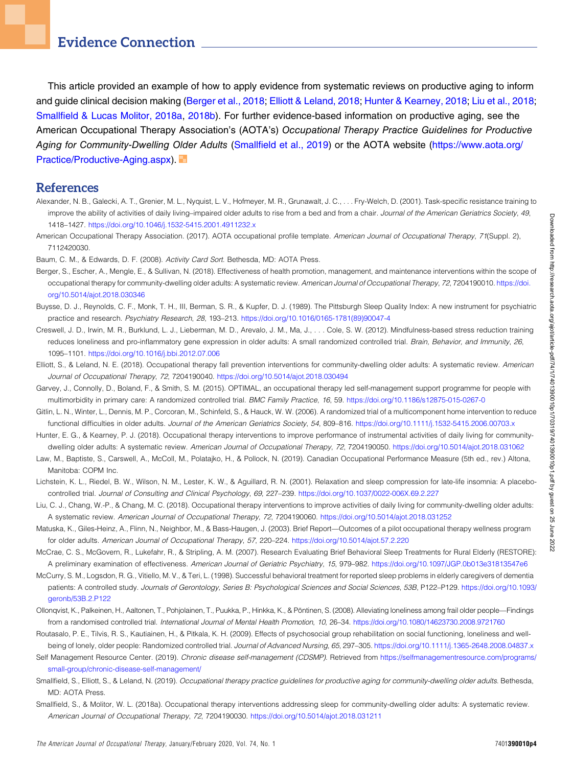### Evidence Connection

This article provided an example of how to apply evidence from systematic reviews on productive aging to inform and guide clinical decision making [\(Berger et al., 2018](#page-3-0); [Elliott & Leland, 2018](#page-3-1); [Hunter & Kearney, 2018;](#page-3-2) [Liu et al., 2018](#page-3-3); Smallfi[eld & Lucas Molitor, 2018a](#page-3-4), [2018b\)](#page-4-0). For further evidence-based information on productive aging, see the American Occupational Therapy Association's (AOTA's) Occupational Therapy Practice Guidelines for Productive Aging for Community-Dwelling Older Adults (Smallfi[eld et al., 2019](#page-3-20)) or the AOTA website [\(https://www.aota.org/](https://www.aota.org/Practice/Productive-Aging.aspx) [Practice/Productive-Aging.aspx\)](https://www.aota.org/Practice/Productive-Aging.aspx).

#### References

- <span id="page-3-12"></span>Alexander, N. B., Galecki, A. T., Grenier, M. L., Nyquist, L. V., Hofmeyer, M. R., Grunawalt, J. C., . . . Fry-Welch, D. (2001). Task-specific resistance training to improve the ability of activities of daily living-impaired older adults to rise from a bed and from a chair. Journal of the American Geriatrics Society, 49, 1418–1427. <https://doi.org/10.1046/j.1532-5415.2001.4911232.x>
- <span id="page-3-5"></span>American Occupational Therapy Association. (2017). AOTA occupational profile template. American Journal of Occupational Therapy, 71(Suppl. 2), 7112420030.
- <span id="page-3-7"></span>Baum, C. M., & Edwards, D. F. (2008). Activity Card Sort. Bethesda, MD: AOTA Press.
- <span id="page-3-0"></span>Berger, S., Escher, A., Mengle, E., & Sullivan, N. (2018). Effectiveness of health promotion, management, and maintenance interventions within the scope of occupational therapy for community-dwelling older adults: A systematic review. American Journal of Occupational Therapy, 72, 7204190010. [https://doi.](https://doi.org/10.5014/ajot.2018.030346) [org/10.5014/ajot.2018.030346](https://doi.org/10.5014/ajot.2018.030346)
- <span id="page-3-8"></span>Buysse, D. J., Reynolds, C. F., Monk, T. H., III, Berman, S. R., & Kupfer, D. J. (1989). The Pittsburgh Sleep Quality Index: A new instrument for psychiatric practice and research. Psychiatry Research, 28, 193–213. [https://doi.org/10.1016/0165-1781\(89\)90047-4](https://doi.org/10.1016/0165-1781(89)90047-4)
- <span id="page-3-16"></span>Creswell, J. D., Irwin, M. R., Burklund, L. J., Lieberman, M. D., Arevalo, J. M., Ma, J., . . . Cole, S. W. (2012). Mindfulness-based stress reduction training reduces loneliness and pro-inflammatory gene expression in older adults: A small randomized controlled trial. Brain, Behavior, and Immunity, 26, 1095–1101. <https://doi.org/10.1016/j.bbi.2012.07.006>
- <span id="page-3-1"></span>Elliott, S., & Leland, N. E. (2018). Occupational therapy fall prevention interventions for community-dwelling older adults: A systematic review. American Journal of Occupational Therapy, 72, 7204190040. <https://doi.org/10.5014/ajot.2018.030494>
- <span id="page-3-9"></span>Garvey, J., Connolly, D., Boland, F., & Smith, S. M. (2015). OPTIMAL, an occupational therapy led self-management support programme for people with multimorbidity in primary care: A randomized controlled trial. BMC Family Practice, 16, 59. <https://doi.org/10.1186/s12875-015-0267-0>
- <span id="page-3-11"></span>Gitlin, L. N., Winter, L., Dennis, M. P., Corcoran, M., Schinfeld, S., & Hauck, W. W. (2006). A randomized trial of a multicomponent home intervention to reduce functional difficulties in older adults. Journal of the American Geriatrics Society, 54, 809-816. <https://doi.org/10.1111/j.1532-5415.2006.00703.x>
- <span id="page-3-2"></span>Hunter, E. G., & Kearney, P. J. (2018). Occupational therapy interventions to improve performance of instrumental activities of daily living for communitydwelling older adults: A systematic review. American Journal of Occupational Therapy, 72, 7204190050. <https://doi.org/10.5014/ajot.2018.031062>
- <span id="page-3-6"></span>Law, M., Baptiste, S., Carswell, A., McColl, M., Polatajko, H., & Pollock, N. (2019). Canadian Occupational Performance Measure (5th ed., rev.) Altona, Manitoba: COPM Inc.
- <span id="page-3-13"></span>Lichstein, K. L., Riedel, B. W., Wilson, N. M., Lester, K. W., & Aguillard, R. N. (2001). Relaxation and sleep compression for late-life insomnia: A placebocontrolled trial. Journal of Consulting and Clinical Psychology, 69, 227–239. <https://doi.org/10.1037/0022-006X.69.2.227>
- <span id="page-3-3"></span>Liu, C. J., Chang, W.-P., & Chang, M. C. (2018). Occupational therapy interventions to improve activities of daily living for community-dwelling older adults: A systematic review. American Journal of Occupational Therapy, 72, 7204190060. <https://doi.org/10.5014/ajot.2018.031252>
- <span id="page-3-17"></span>Matuska, K., Giles-Heinz, A., Flinn, N., Neighbor, M., & Bass-Haugen, J. (2003). Brief Report—Outcomes of a pilot occupational therapy wellness program for older adults. American Journal of Occupational Therapy, 57, 220–224. <https://doi.org/10.5014/ajot.57.2.220>
- <span id="page-3-14"></span>McCrae, C. S., McGovern, R., Lukefahr, R., & Stripling, A. M. (2007). Research Evaluating Brief Behavioral Sleep Treatments for Rural Elderly (RESTORE): A preliminary examination of effectiveness. American Journal of Geriatric Psychiatry, 15, 979–982. <https://doi.org/10.1097/JGP.0b013e31813547e6>
- <span id="page-3-15"></span>McCurry, S. M., Logsdon, R. G., Vitiello, M. V., & Teri, L. (1998). Successful behavioral treatment for reported sleep problems in elderly caregivers of dementia patients: A controlled study. Journals of Gerontology, Series B: Psychological Sciences and Social Sciences, 53B, P122–P129. [https://doi.org/10.1093/](https://doi.org/10.1093/geronb/53B.2.P122) [geronb/53B.2.P122](https://doi.org/10.1093/geronb/53B.2.P122)
- <span id="page-3-18"></span>Ollongvist, K., Palkeinen, H., Aaltonen, T., Pohjolainen, T., Puukka, P., Hinkka, K., & Pöntinen, S. (2008). Alleviating loneliness among frail older people—Findings from a randomised controlled trial. International Journal of Mental Health Promotion, 10, 26–34. <https://doi.org/10.1080/14623730.2008.9721760>
- <span id="page-3-19"></span>Routasalo, P. E., Tilvis, R. S., Kautiainen, H., & Pitkala, K. H. (2009). Effects of psychosocial group rehabilitation on social functioning, loneliness and wellbeing of lonely, older people: Randomized controlled trial. Journal of Advanced Nursing, 65, 297-305. <https://doi.org/10.1111/j.1365-2648.2008.04837.x>
- <span id="page-3-10"></span>Self Management Resource Center. (2019). Chronic disease self-management (CDSMP). Retrieved from [https://selfmanagementresource.com/programs/](https://selfmanagementresource.com/programs/small-group/chronic-disease-self-management/) [small-group/chronic-disease-self-management/](https://selfmanagementresource.com/programs/small-group/chronic-disease-self-management/)
- <span id="page-3-20"></span>Smallfield, S., Elliott, S., & Leland, N. (2019). Occupational therapy practice guidelines for productive aging for community-dwelling older adults. Bethesda, MD: AOTA Press.
- <span id="page-3-4"></span>Smallfield, S., & Molitor, W. L. (2018a). Occupational therapy interventions addressing sleep for community-dwelling older adults: A systematic review. American Journal of Occupational Therapy, 72, 7204190030. <https://doi.org/10.5014/ajot.2018.031211>